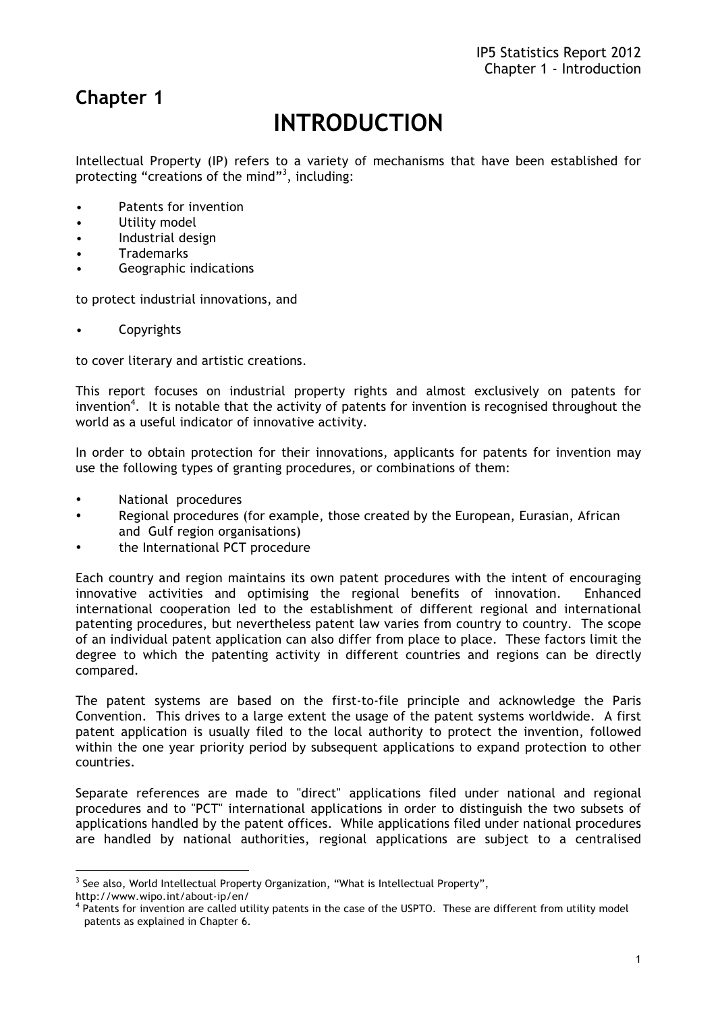# **Chapter 1**

# **INTRODUCTION**

Intellectual Property (IP) refers to a variety of mechanisms that have been established for protecting "creations of the mind"<sup>3</sup>, including:

- Patents for invention
- Utility model
- Industrial design
- Trademarks
- Geographic indications

to protect industrial innovations, and

**Copyrights** 

to cover literary and artistic creations.

This report focuses on industrial property rights and almost exclusively on patents for invention<sup>4</sup>. It is notable that the activity of patents for invention is recognised throughout the world as a useful indicator of innovative activity.

In order to obtain protection for their innovations, applicants for patents for invention may use the following types of granting procedures, or combinations of them:

- National procedures
- Regional procedures (for example, those created by the European, Eurasian, African and Gulf region organisations)
- the International PCT procedure

Each country and region maintains its own patent procedures with the intent of encouraging innovative activities and optimising the regional benefits of innovation. Enhanced international cooperation led to the establishment of different regional and international patenting procedures, but nevertheless patent law varies from country to country. The scope of an individual patent application can also differ from place to place. These factors limit the degree to which the patenting activity in different countries and regions can be directly compared.

The patent systems are based on the first-to-file principle and acknowledge the Paris Convention. This drives to a large extent the usage of the patent systems worldwide. A first patent application is usually filed to the local authority to protect the invention, followed within the one year priority period by subsequent applications to expand protection to other countries.

Separate references are made to "direct" applications filed under national and regional procedures and to "PCT" international applications in order to distinguish the two subsets of applications handled by the patent offices. While applications filed under national procedures are handled by national authorities, regional applications are subject to a centralised

<sup>&</sup>lt;sup>3</sup> See also, World Intellectual Property Organization, "What is Intellectual Property",

http://www.wipo.int/about-ip/en/

<sup>&</sup>lt;sup>4</sup> Patents for invention are called utility patents in the case of the USPTO. These are different from utility model patents as explained in Chapter 6.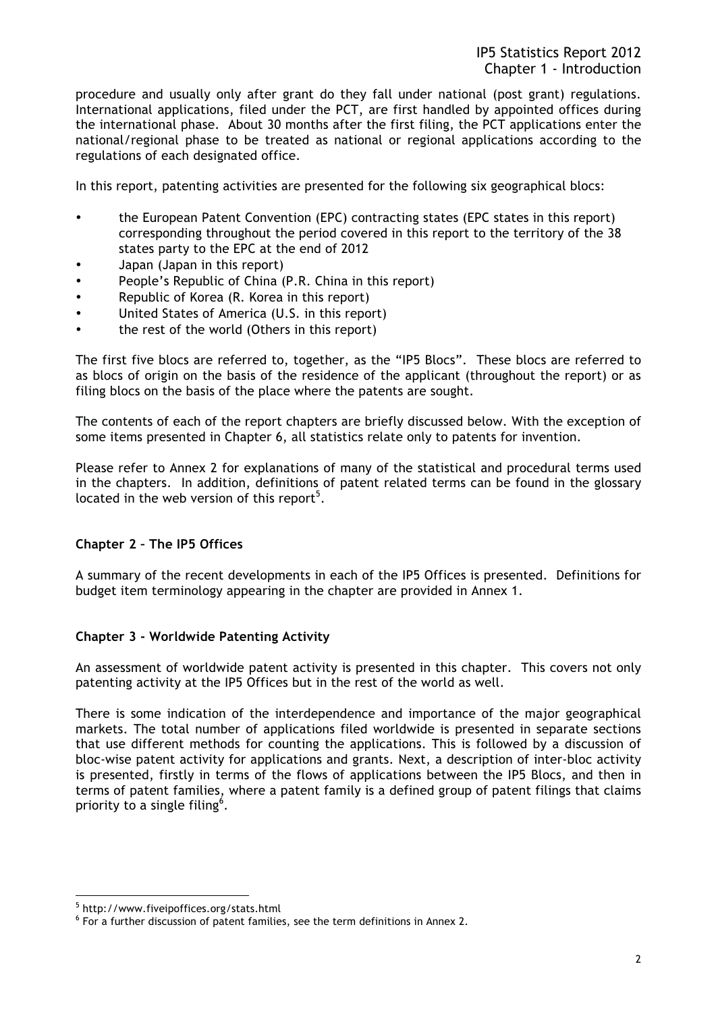procedure and usually only after grant do they fall under national (post grant) regulations. International applications, filed under the PCT, are first handled by appointed offices during the international phase. About 30 months after the first filing, the PCT applications enter the national/regional phase to be treated as national or regional applications according to the regulations of each designated office.

In this report, patenting activities are presented for the following six geographical blocs:

- the European Patent Convention (EPC) contracting states (EPC states in this report) corresponding throughout the period covered in this report to the territory of the 38 states party to the EPC at the end of 2012
- Japan (Japan in this report)
- People's Republic of China (P.R. China in this report)
- Republic of Korea (R. Korea in this report)
- United States of America (U.S. in this report)
- the rest of the world (Others in this report)

The first five blocs are referred to, together, as the "IP5 Blocs". These blocs are referred to as blocs of origin on the basis of the residence of the applicant (throughout the report) or as filing blocs on the basis of the place where the patents are sought.

The contents of each of the report chapters are briefly discussed below. With the exception of some items presented in Chapter 6, all statistics relate only to patents for invention.

Please refer to Annex 2 for explanations of many of the statistical and procedural terms used in the chapters. In addition, definitions of patent related terms can be found in the glossary located in the web version of this report<sup>5</sup>.

# **Chapter 2 – The IP5 Offices**

A summary of the recent developments in each of the IP5 Offices is presented. Definitions for budget item terminology appearing in the chapter are provided in Annex 1.

#### **Chapter 3 - Worldwide Patenting Activity**

An assessment of worldwide patent activity is presented in this chapter. This covers not only patenting activity at the IP5 Offices but in the rest of the world as well.

There is some indication of the interdependence and importance of the major geographical markets. The total number of applications filed worldwide is presented in separate sections that use different methods for counting the applications. This is followed by a discussion of bloc-wise patent activity for applications and grants. Next, a description of inter-bloc activity is presented, firstly in terms of the flows of applications between the IP5 Blocs, and then in terms of patent families, where a patent family is a defined group of patent filings that claims priority to a single filing<sup>6</sup>.

 $\overline{a}$ 

<sup>5</sup> http://www.fiveipoffices.org/stats.html

 $6$  For a further discussion of patent families, see the term definitions in Annex 2.